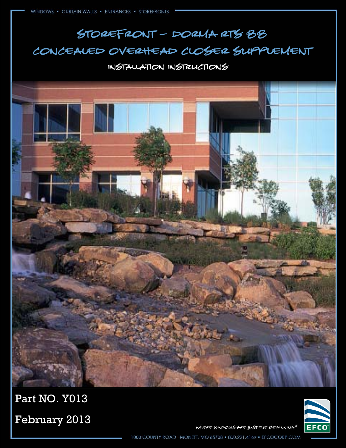# Storefront – dorma rts 88 Concealed overhead closer supplement

#### Installation Instructions





Part NO. Y013

February 2013

WHERE WINDOWS ARE JUST THE BEGINNING®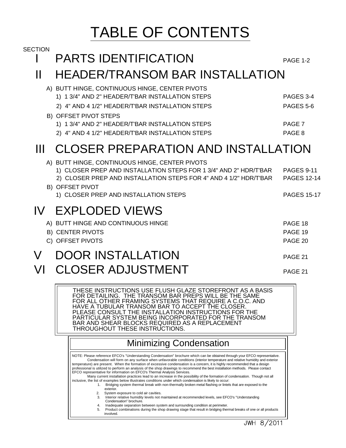# TABLE OF CONTENTS

| <b>SECTION</b> | <b>PARTS IDENTIFICATION</b>                                                                                                                                                                                                                                                                                                                                                                        | <b>PAGE 1-2</b>                                               |  |
|----------------|----------------------------------------------------------------------------------------------------------------------------------------------------------------------------------------------------------------------------------------------------------------------------------------------------------------------------------------------------------------------------------------------------|---------------------------------------------------------------|--|
| Ш              | HEADER/TRANSOM BAR INSTALLATION                                                                                                                                                                                                                                                                                                                                                                    |                                                               |  |
|                | A) BUTT HINGE, CONTINUOUS HINGE, CENTER PIVOTS<br>1) 1 3/4" AND 2" HEADER/T'BAR INSTALLATION STEPS<br>2) 4" AND 4 1/2" HEADER/T'BAR INSTALLATION STEPS<br>B) OFFSET PIVOT STEPS<br>1) 1 3/4" AND 2" HEADER/T'BAR INSTALLATION STEPS<br>2) 4" AND 4 1/2" HEADER/T'BAR INSTALLATION STEPS                                                                                                            | PAGES 3-4<br>PAGES 5-6<br>PAGE 7<br>PAGE <sub>8</sub>         |  |
| Ш              | CLOSER PREPARATION AND INSTALLATION                                                                                                                                                                                                                                                                                                                                                                |                                                               |  |
|                | A) BUTT HINGE, CONTINUOUS HINGE, CENTER PIVOTS<br>1) CLOSER PREP AND INSTALLATION STEPS FOR 1 3/4" AND 2" HDR/T'BAR<br>2) CLOSER PREP AND INSTALLATION STEPS FOR 4" AND 4 1/2" HDR/T'BAR<br><b>B) OFFSET PIVOT</b><br>1) CLOSER PREP AND INSTALLATION STEPS                                                                                                                                        | <b>PAGES 9-11</b><br><b>PAGES 12-14</b><br><b>PAGES 15-17</b> |  |
|                | <b>IV EXPLODED VIEWS</b>                                                                                                                                                                                                                                                                                                                                                                           |                                                               |  |
|                | A) BUTT HINGE AND CONTINUOUS HINGE<br><b>B) CENTER PIVOTS</b><br>C) OFFSET PIVOTS                                                                                                                                                                                                                                                                                                                  | PAGE 18<br>PAGE 19<br>PAGE 20                                 |  |
| V              | <b>DOOR INSTALLATION</b>                                                                                                                                                                                                                                                                                                                                                                           | PAGE 21                                                       |  |
| VL             | <b>CLOSER ADJUSTMENT</b>                                                                                                                                                                                                                                                                                                                                                                           | PAGE 21                                                       |  |
|                | THESE INSTRUCTIONS USE FLUSH GLAZE STOREFRONT AS A BASIS<br>FOR DETAILING. THE TRANSOM BAR PREPS WILL BE THE SAME<br>FOR ALL OTHER FRAMING SYSTEMS THAT REQUIRE A C.O.C. AND<br>HAVE A TUBULAR TRANSOM BAR TO ACCEPT THE CLOSER.<br>PLEASE CONSULT THE INSTALLATION INSTRUCTIONS FOR THE<br>PARTICULAR SYSTEM BEING INCORPORATED FOR THE TRANSOM<br>BAR AND SHEAR BLOCKS REQUIRED AS A REPLACEMENT |                                                               |  |

#### Minimizing Condensation

professional is utilized to perform an analysis of the shop drawings to recommend the best installation methods. Please contact<br>EFCO representative for information on EFCO's Thermal Analysis Services.<br>Many current installa temperature) are present. When the formation of excessive condensation is a concern, it is highly recommended that a design Condensation will form on any surface when unfavorable conditions (interior temperature and relative humidity and exterior NOTE: Please reference EFCO's "Understanding Condensation" brochure which can be obtained through your EFCO representative.

 1. Bridging system thermal break with non-thermally broken metal flashing or lintels that are exposed to the inclusive, the list of examples below illustrates conditions under which condensation is likely to occur:

exterior.

THROUGHOUT THESE INSTRUCTIONS.

- 3. Interior relative humidity levels not maintained at recommended levels, see EFCO's "Understanding 2. System exposure to cold air cavities. Condensation" brochure.
- 4. Inadequate separation between system and surrounding condition at perimeter. 5. Product combinations during the shop drawing stage that result in bridging thermal breaks of one or all products
	- involved.

JWH 8/2011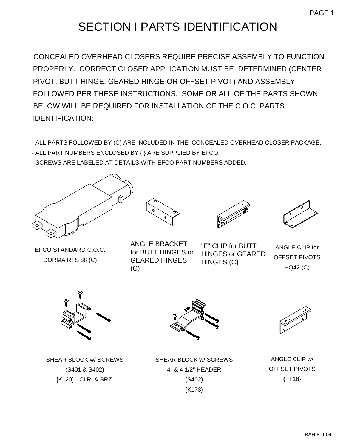# SECTION I PARTS IDENTIFICATION

CONCEALED OVERHEAD CLOSERS REQUIRE PRECISE ASSEMBLY TO FUNCTION PROPERLY. CORRECT CLOSER APPLICATION MUST BE DETERMINED (CENTER PIVOT, BUTT HINGE, GEARED HINGE OR OFFSET PIVOT) AND ASSEMBLY FOLLOWED PER THESE INSTRUCTIONS. SOME OR ALL OF THE PARTS SHOWN BELOW WILL BE REQUIRED FOR INSTALLATION OF THE C.O.C. PARTS IDENTIFICATION:

- ALL PARTS FOLLOWED BY (C) ARE INCLUDED IN THE CONCEALED OVERHEAD CLOSER PACKAGE.
- ALL PART NUMBERS ENCLOSED BY { } ARE SUPPLIED BY EFCO.
- SCREWS ARE LABELED AT DETAILS WITH EFCO PART NUMBERS ADDED.



EFCO STANDARD C.O.C. DORMA RTS 88 (C)





"F" CLIP for BUTT HINGES or GEARED

 $\overline{G}$ 



ANGLE CLIP for OFFSET PIVOTS HQ42 (C)



SHEAR BLOCK w/ SCREWS (S401 & S402) {K120} - CLR. & BRZ.







SHEAR BLOCK w/ SCREWS 4" & 4 1/2" HEADER (S402) {K173}

ANGLE CLIP w/ OFFSET PIVOTS {FT16}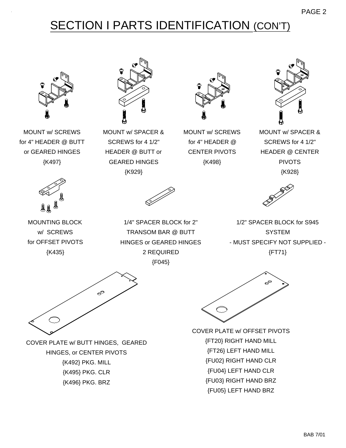# SECTION I PARTS IDENTIFICATION (CON'T)



MOUNT w/ SCREWS for 4" HEADER @ BUTT or GEARED HINGES {K497}



MOUNT w/ SPACER & SCREWS for 4 1/2" HEADER @ BUTT or GEARED HINGES {K929}



MOUNT w/ SCREWS for 4" HEADER @ CENTER PIVOTS {K498}



PAGE 2

MOUNT w/ SPACER & SCREWS for 4 1/2" HEADER @ CENTER PIVOTS {K928}



MOUNTING BLOCK w/ SCREWS for OFFSET PIVOTS {K435}



1/4" SPACER BLOCK for 2" TRANSOM BAR @ BUTT HINGES or GEARED HINGES 2 REQUIRED {F045}



1/2" SPACER BLOCK for S945 **SYSTEM** - MUST SPECIFY NOT SUPPLIED - {FT71}



COVER PLATE w/ BUTT HINGES, GEARED HINGES, or CENTER PIVOTS {K492} PKG. MILL {K495} PKG. CLR {K496} PKG. BRZ



COVER PLATE w/ OFFSET PIVOTS {FT20} RIGHT HAND MILL {FT26} LEFT HAND MILL {FU02} RIGHT HAND CLR {FU04} LEFT HAND CLR {FU03} RIGHT HAND BRZ {FU05} LEFT HAND BRZ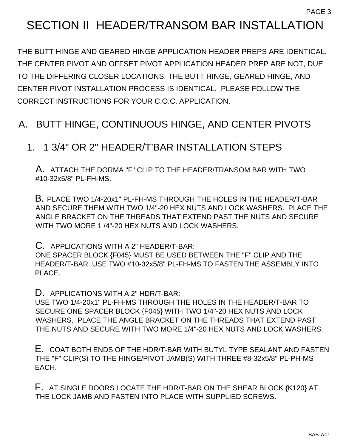#### PAGE 3

# SECTION II HEADER/TRANSOM BAR INSTALLATION

THE BUTT HINGE AND GEARED HINGE APPLICATION HEADER PREPS ARE IDENTICAL. THE CENTER PIVOT AND OFFSET PIVOT APPLICATION HEADER PREP ARE NOT, DUE TO THE DIFFERING CLOSER LOCATIONS. THE BUTT HINGE, GEARED HINGE, AND CENTER PIVOT INSTALLATION PROCESS IS IDENTICAL. PLEASE FOLLOW THE CORRECT INSTRUCTIONS FOR YOUR C.O.C. APPLICATION.

#### A. BUTT HINGE, CONTINUOUS HINGE, AND CENTER PIVOTS

#### 1. 1 3/4" OR 2" HEADER/T'BAR INSTALLATION STEPS

A. ATTACH THE DORMA "F" CLIP TO THE HEADER/TRANSOM BAR WITH TWO #10-32x5/8" PL-FH-MS.

B. PLACE TWO 1/4-20x1" PL-FH-MS THROUGH THE HOLES IN THE HEADER/T-BAR AND SECURE THEM WITH TWO 1/4"-20 HEX NUTS AND LOCK WASHERS. PLACE THE ANGLE BRACKET ON THE THREADS THAT EXTEND PAST THE NUTS AND SECURE WITH TWO MORE 1 /4"-20 HEX NUTS AND LOCK WASHERS.

C. APPLICATIONS WITH A 2" HEADER/T-BAR:

ONE SPACER BLOCK {F045} MUST BE USED BETWEEN THE "F" CLIP AND THE HEADER/T-BAR. USE TWO #10-32x5/8" PL-FH-MS TO FASTEN THE ASSEMBLY INTO PLACE.

D. APPLICATIONS WITH A 2" HDR/T-BAR:

USE TWO 1/4-20x1" PL-FH-MS THROUGH THE HOLES IN THE HEADER/T-BAR TO SECURE ONE SPACER BLOCK {F045} WITH TWO 1/4"-20 HEX NUTS AND LOCK WASHERS. PLACE THE ANGLE BRACKET ON THE THREADS THAT EXTEND PAST THE NUTS AND SECURE WITH TWO MORE 1/4"-20 HEX NUTS AND LOCK WASHERS.

E. COAT BOTH ENDS OF THE HDR/T-BAR WITH BUTYL TYPE SEALANT AND FASTEN THE "F" CLIP(S) TO THE HINGE/PIVOT JAMB(S) WITH THREE #8-32x5/8" PL-PH-MS EACH.

F. AT SINGLE DOORS LOCATE THE HDR/T-BAR ON THE SHEAR BLOCK {K120} AT THE LOCK JAMB AND FASTEN INTO PLACE WITH SUPPLIED SCREWS.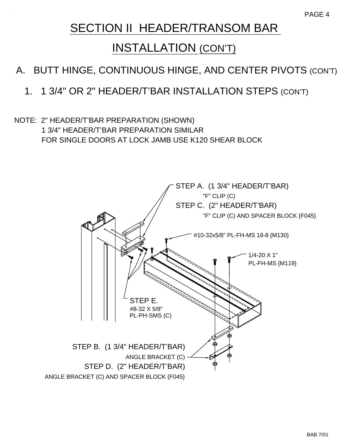# SECTION II HEADER/TRANSOM BAR

### INSTALLATION (CON'T)

#### A. BUTT HINGE, CONTINUOUS HINGE, AND CENTER PIVOTS (CON'T)

#### 1. 1 3/4" OR 2" HEADER/T'BAR INSTALLATION STEPS (CON'T)

#### NOTE: 2" HEADER/T'BAR PREPARATION (SHOWN) 1 3/4" HEADER/T'BAR PREPARATION SIMILAR FOR SINGLE DOORS AT LOCK JAMB USE K120 SHEAR BLOCK

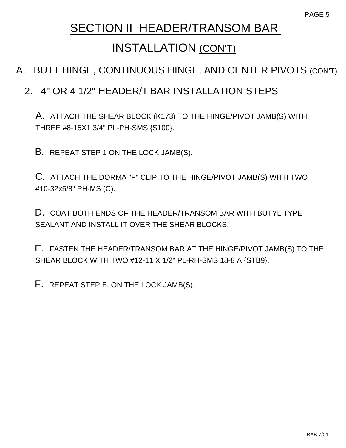# SECTION II HEADER/TRANSOM BAR INSTALLATION (CON'T)

#### A. BUTT HINGE, CONTINUOUS HINGE, AND CENTER PIVOTS (CON'T)

#### 2. 4" OR 4 1/2" HEADER/T'BAR INSTALLATION STEPS

A. ATTACH THE SHEAR BLOCK (K173) TO THE HINGE/PIVOT JAMB(S) WITH THREE #8-15X1 3/4" PL-PH-SMS {S100}.

B. REPEAT STEP 1 ON THE LOCK JAMB(S).

C. ATTACH THE DORMA "F" CLIP TO THE HINGE/PIVOT JAMB(S) WITH TWO #10-32x5/8" PH-MS (C).

D. COAT BOTH ENDS OF THE HEADER/TRANSOM BAR WITH BUTYL TYPE SEALANT AND INSTALL IT OVER THE SHEAR BLOCKS.

E. FASTEN THE HEADER/TRANSOM BAR AT THE HINGE/PIVOT JAMB(S) TO THE SHEAR BLOCK WITH TWO #12-11 X 1/2" PL-RH-SMS 18-8 A {STB9}.

F. REPEAT STEP E. ON THE LOCK JAMB(S).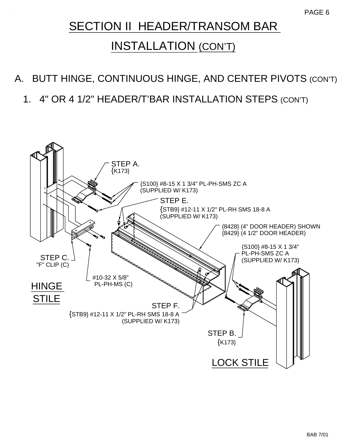# SECTION II HEADER/TRANSOM BAR

# INSTALLATION (CON'T)

### A. BUTT HINGE, CONTINUOUS HINGE, AND CENTER PIVOTS (CON'T)

1. 4" OR 4 1/2" HEADER/T'BAR INSTALLATION STEPS (CON'T)

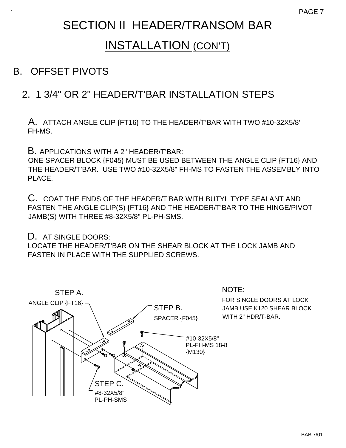# SECTION II HEADER/TRANSOM BAR

# INSTALLATION (CON'T)

#### B. OFFSET PIVOTS

#### 2. 1 3/4" OR 2" HEADER/T'BAR INSTALLATION STEPS

A. ATTACH ANGLE CLIP {FT16} TO THE HEADER/T'BAR WITH TWO #10-32X5/8' FH-MS.

B. APPLICATIONS WITH A 2" HEADER/T'BAR:

ONE SPACER BLOCK {F045} MUST BE USED BETWEEN THE ANGLE CLIP {FT16} AND THE HEADER/T'BAR. USE TWO #10-32X5/8" FH-MS TO FASTEN THE ASSEMBLY INTO PLACE.

C. COAT THE ENDS OF THE HEADER/T'BAR WITH BUTYL TYPE SEALANT AND FASTEN THE ANGLE CLIP(S) {FT16} AND THE HEADER/T'BAR TO THE HINGE/PIVOT JAMB(S) WITH THREE #8-32X5/8" PL-PH-SMS.

#### D. AT SINGLE DOORS:

LOCATE THE HEADER/T'BAR ON THE SHEAR BLOCK AT THE LOCK JAMB AND FASTEN IN PLACE WITH THE SUPPLIED SCREWS.

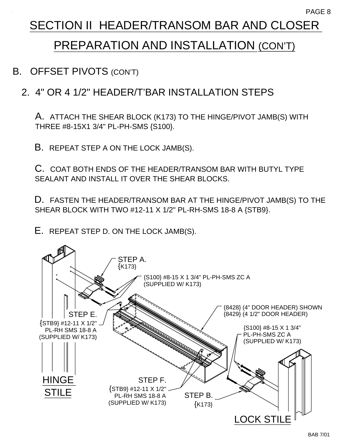# SECTION II HEADER/TRANSOM BAR AND CLOSER

# PREPARATION AND INSTALLATION (CON'T)

B. OFFSET PIVOTS (CON'T)

#### 2. 4" OR 4 1/2" HEADER/T'BAR INSTALLATION STEPS

A. ATTACH THE SHEAR BLOCK (K173) TO THE HINGE/PIVOT JAMB(S) WITH THREE #8-15X1 3/4" PL-PH-SMS {S100}.

B. REPEAT STEP A ON THE LOCK JAMB(S).

C. COAT BOTH ENDS OF THE HEADER/TRANSOM BAR WITH BUTYL TYPE SEALANT AND INSTALL IT OVER THE SHEAR BLOCKS.

D. FASTEN THE HEADER/TRANSOM BAR AT THE HINGE/PIVOT JAMB(S) TO THE SHEAR BLOCK WITH TWO #12-11 X 1/2" PL-RH-SMS 18-8 A {STB9}.

E. REPEAT STEP D. ON THE LOCK JAMB(S).

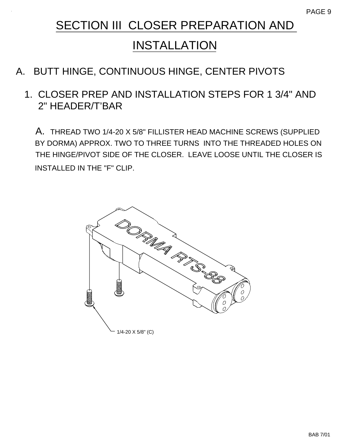# INSTALLATION

## A. BUTT HINGE, CONTINUOUS HINGE, CENTER PIVOTS

#### 1. CLOSER PREP AND INSTALLATION STEPS FOR 1 3/4" AND 2" HEADER/T'BAR

A. THREAD TWO 1/4-20 X 5/8" FILLISTER HEAD MACHINE SCREWS (SUPPLIED BY DORMA) APPROX. TWO TO THREE TURNS INTO THE THREADED HOLES ON THE HINGE/PIVOT SIDE OF THE CLOSER. LEAVE LOOSE UNTIL THE CLOSER IS INSTALLED IN THE "F" CLIP.

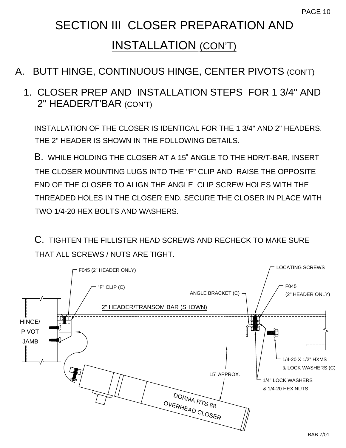# INSTALLATION (CON'T)

#### A. BUTT HINGE, CONTINUOUS HINGE, CENTER PIVOTS (CON'T)

 1. CLOSER PREP AND INSTALLATION STEPS FOR 1 3/4" AND 2" HEADER/T'BAR (CON'T)

INSTALLATION OF THE CLOSER IS IDENTICAL FOR THE 1 3/4" AND 2" HEADERS. THE 2" HEADER IS SHOWN IN THE FOLLOWING DETAILS.

B. WHILE HOLDING THE CLOSER AT A 15˚ ANGLE TO THE HDR/T-BAR, INSERT THE CLOSER MOUNTING LUGS INTO THE "F" CLIP AND RAISE THE OPPOSITE END OF THE CLOSER TO ALIGN THE ANGLE CLIP SCREW HOLES WITH THE THREADED HOLES IN THE CLOSER END. SECURE THE CLOSER IN PLACE WITH TWO 1/4-20 HEX BOLTS AND WASHERS.

C. TIGHTEN THE FILLISTER HEAD SCREWS AND RECHECK TO MAKE SURE THAT ALL SCREWS / NUTS ARE TIGHT.

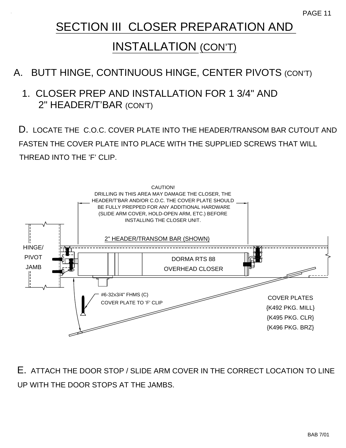## INSTALLATION (CON'T)

#### A. BUTT HINGE, CONTINUOUS HINGE, CENTER PIVOTS (CON'T)

#### 1. CLOSER PREP AND INSTALLATION FOR 1 3/4" AND 2" HEADER/T'BAR (CON'T)

D. LOCATE THE C.O.C. COVER PLATE INTO THE HEADER/TRANSOM BAR CUTOUT AND FASTEN THE COVER PLATE INTO PLACE WITH THE SUPPLIED SCREWS THAT WILL THREAD INTO THE 'F' CLIP.



E. ATTACH THE DOOR STOP / SLIDE ARM COVER IN THE CORRECT LOCATION TO LINE UP WITH THE DOOR STOPS AT THE JAMBS.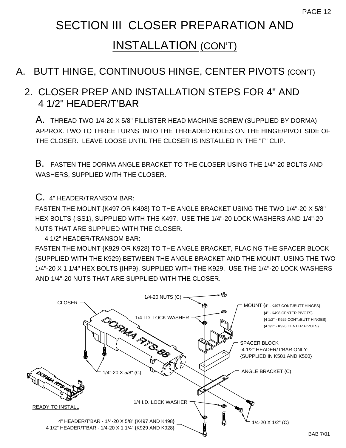# INSTALLATION (CON'T)

#### A. BUTT HINGE, CONTINUOUS HINGE, CENTER PIVOTS (CON'T)

#### 2. CLOSER PREP AND INSTALLATION STEPS FOR 4" AND 4 1/2" HEADER/T'BAR

A. THREAD TWO 1/4-20 X 5/8" FILLISTER HEAD MACHINE SCREW (SUPPLIED BY DORMA) APPROX. TWO TO THREE TURNS INTO THE THREADED HOLES ON THE HINGE/PIVOT SIDE OF THE CLOSER. LEAVE LOOSE UNTIL THE CLOSER IS INSTALLED IN THE "F" CLIP.

B. FASTEN THE DORMA ANGLE BRACKET TO THE CLOSER USING THE 1/4"-20 BOLTS AND WASHERS, SUPPLIED WITH THE CLOSER.

C. 4" HEADER/TRANSOM BAR:

FASTEN THE MOUNT {K497 OR K498} TO THE ANGLE BRACKET USING THE TWO 1/4"-20 X 5/8" HEX BOLTS {ISS1}, SUPPLIED WITH THE K497. USE THE 1/4"-20 LOCK WASHERS AND 1/4"-20 NUTS THAT ARE SUPPLIED WITH THE CLOSER.

4 1/2" HEADER/TRANSOM BAR:

FASTEN THE MOUNT {K929 OR K928} TO THE ANGLE BRACKET, PLACING THE SPACER BLOCK (SUPPLIED WITH THE K929) BETWEEN THE ANGLE BRACKET AND THE MOUNT, USING THE TWO 1/4"-20 X 1 1/4" HEX BOLTS {IHP9}, SUPPLIED WITH THE K929. USE THE 1/4"-20 LOCK WASHERS AND 1/4"-20 NUTS THAT ARE SUPPLIED WITH THE CLOSER.

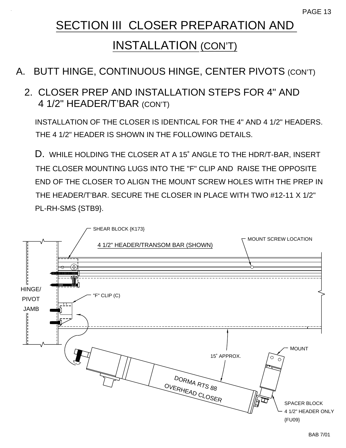# INSTALLATION (CON'T)

#### A. BUTT HINGE, CONTINUOUS HINGE, CENTER PIVOTS (CON'T)

#### 2. CLOSER PREP AND INSTALLATION STEPS FOR 4" AND 4 1/2" HEADER/T'BAR (CON'T)

INSTALLATION OF THE CLOSER IS IDENTICAL FOR THE 4" AND 4 1/2" HEADERS. THE 4 1/2" HEADER IS SHOWN IN THE FOLLOWING DETAILS.

D. WHILE HOLDING THE CLOSER AT A 15˚ ANGLE TO THE HDR/T-BAR, INSERT THE CLOSER MOUNTING LUGS INTO THE "F" CLIP AND RAISE THE OPPOSITE END OF THE CLOSER TO ALIGN THE MOUNT SCREW HOLES WITH THE PREP IN THE HEADER/T'BAR. SECURE THE CLOSER IN PLACE WITH TWO #12-11 X 1/2" PL-RH-SMS {STB9}.

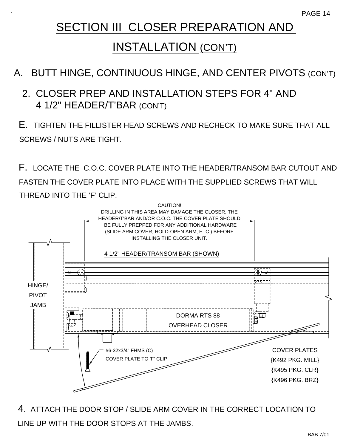## INSTALLATION (CON'T)

### A. BUTT HINGE, CONTINUOUS HINGE, AND CENTER PIVOTS (CON'T)

#### 2. CLOSER PREP AND INSTALLATION STEPS FOR 4" AND 4 1/2" HEADER/T'BAR (CON'T)

E. TIGHTEN THE FILLISTER HEAD SCREWS AND RECHECK TO MAKE SURE THAT ALL SCREWS / NUTS ARE TIGHT.

F. LOCATE THE C.O.C. COVER PLATE INTO THE HEADER/TRANSOM BAR CUTOUT AND FASTEN THE COVER PLATE INTO PLACE WITH THE SUPPLIED SCREWS THAT WILL THREAD INTO THE 'F' CLIP.



4. ATTACH THE DOOR STOP / SLIDE ARM COVER IN THE CORRECT LOCATION TO LINE UP WITH THE DOOR STOPS AT THE JAMBS.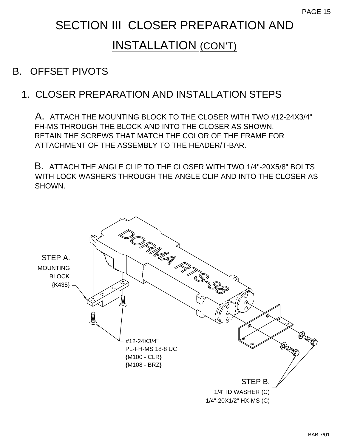# INSTALLATION (CON'T)

#### B. OFFSET PIVOTS

#### 1. CLOSER PREPARATION AND INSTALLATION STEPS

A. ATTACH THE MOUNTING BLOCK TO THE CLOSER WITH TWO #12-24X3/4" FH-MS THROUGH THE BLOCK AND INTO THE CLOSER AS SHOWN. RETAIN THE SCREWS THAT MATCH THE COLOR OF THE FRAME FOR ATTACHMENT OF THE ASSEMBLY TO THE HEADER/T-BAR.

B. ATTACH THE ANGLE CLIP TO THE CLOSER WITH TWO 1/4"-20X5/8" BOLTS WITH LOCK WASHERS THROUGH THE ANGLE CLIP AND INTO THE CLOSER AS SHOWN.

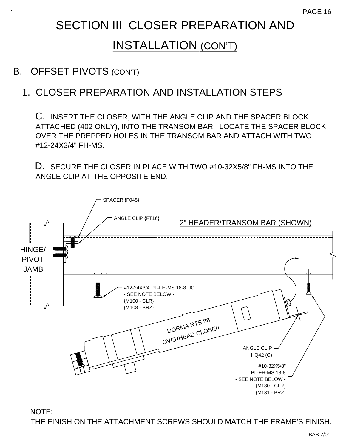# INSTALLATION (CON'T)

#### B. OFFSET PIVOTS (CON'T)

#### 1. CLOSER PREPARATION AND INSTALLATION STEPS

C. INSERT THE CLOSER, WITH THE ANGLE CLIP AND THE SPACER BLOCK ATTACHED (402 ONLY), INTO THE TRANSOM BAR. LOCATE THE SPACER BLOCK OVER THE PREPPED HOLES IN THE TRANSOM BAR AND ATTACH WITH TWO #12-24X3/4" FH-MS.

D. SECURE THE CLOSER IN PLACE WITH TWO #10-32X5/8" FH-MS INTO THE ANGLE CLIP AT THE OPPOSITE END.



NOTE: THE FINISH ON THE ATTACHMENT SCREWS SHOULD MATCH THE FRAME'S FINISH.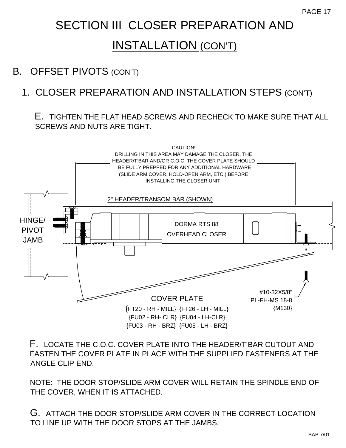# INSTALLATION (CON'T)

#### B. OFFSET PIVOTS (CON'T)

#### 1. CLOSER PREPARATION AND INSTALLATION STEPS (CON'T)

#### E. TIGHTEN THE FLAT HEAD SCREWS AND RECHECK TO MAKE SURE THAT ALL SCREWS AND NUTS ARE TIGHT.



F. LOCATE THE C.O.C. COVER PLATE INTO THE HEADER/T'BAR CUTOUT AND FASTEN THE COVER PLATE IN PLACE WITH THE SUPPLIED FASTENERS AT THE ANGLE CLIP END.

NOTE: THE DOOR STOP/SLIDE ARM COVER WILL RETAIN THE SPINDLE END OF THE COVER, WHEN IT IS ATTACHED.

G. ATTACH THE DOOR STOP/SLIDE ARM COVER IN THE CORRECT LOCATION TO LINE UP WITH THE DOOR STOPS AT THE JAMBS.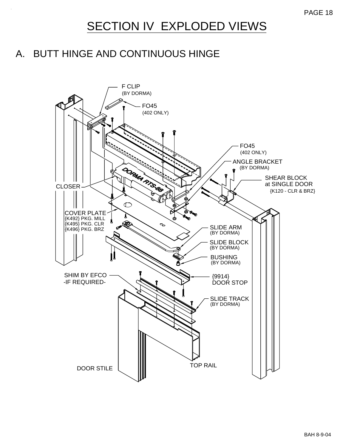# SECTION IV EXPLODED VIEWS

#### A. BUTT HINGE AND CONTINUOUS HINGE

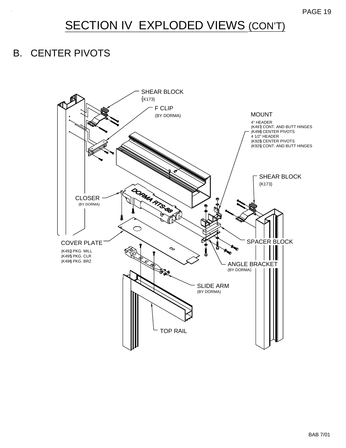# SECTION IV EXPLODED VIEWS (CON'T)

#### B. CENTER PIVOTS

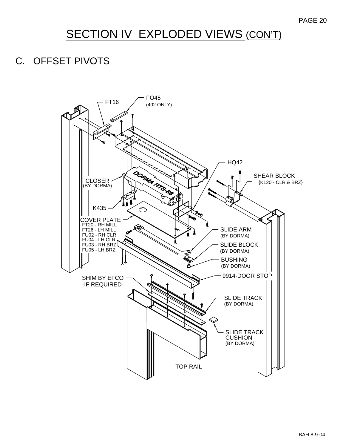# SECTION IV EXPLODED VIEWS (CON'T)

#### C. OFFSET PIVOTS